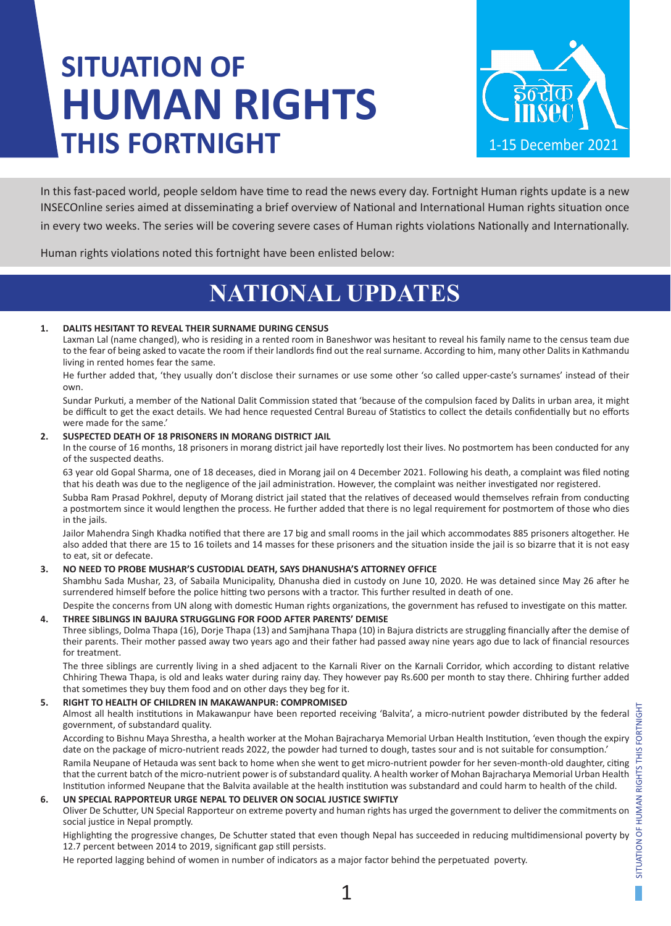# **SITUATION OF HUMAN RIGHTS THIS FORTNIGHT**



In this fast-paced world, people seldom have time to read the news every day. Fortnight Human rights update is a new INSECOnline series aimed at disseminating a brief overview of National and International Human rights situation once in every two weeks. The series will be covering severe cases of Human rights violations Nationally and Internationally.

Human rights violations noted this fortnight have been enlisted below:

# **NATIONAL UPDATES**

# **1. DALITS HESITANT TO REVEAL THEIR SURNAME DURING CENSUS**

Laxman Lal (name changed), who is residing in a rented room in Baneshwor was hesitant to reveal his family name to the census team due to the fear of being asked to vacate the room if their landlords find out the real surname. According to him, many other Dalits in Kathmandu living in rented homes fear the same.

He further added that, 'they usually don't disclose their surnames or use some other 'so called upper-caste's surnames' instead of their own.

Sundar Purkuti, a member of the National Dalit Commission stated that 'because of the compulsion faced by Dalits in urban area, it might be difficult to get the exact details. We had hence requested Central Bureau of Statistics to collect the details confidentially but no efforts were made for the same.'

# **2. SUSPECTED DEATH OF 18 PRISONERS IN MORANG DISTRICT JAIL**

In the course of 16 months, 18 prisoners in morang district jail have reportedly lost their lives. No postmortem has been conducted for any of the suspected deaths.

63 year old Gopal Sharma, one of 18 deceases, died in Morang jail on 4 December 2021. Following his death, a complaint was filed noting that his death was due to the negligence of the jail administration. However, the complaint was neither investigated nor registered.

Subba Ram Prasad Pokhrel, deputy of Morang district jail stated that the relatives of deceased would themselves refrain from conducting a postmortem since it would lengthen the process. He further added that there is no legal requirement for postmortem of those who dies in the jails.

Jailor Mahendra Singh Khadka notified that there are 17 big and small rooms in the jail which accommodates 885 prisoners altogether. He also added that there are 15 to 16 toilets and 14 masses for these prisoners and the situation inside the jail is so bizarre that it is not easy to eat, sit or defecate.

# **3. NO NEED TO PROBE MUSHAR'S CUSTODIAL DEATH, SAYS DHANUSHA'S ATTORNEY OFFICE**

Shambhu Sada Mushar, 23, of Sabaila Municipality, Dhanusha died in custody on June 10, 2020. He was detained since May 26 after he surrendered himself before the police hitting two persons with a tractor. This further resulted in death of one.

Despite the concerns from UN along with domestic Human rights organizations, the government has refused to investigate on this matter. **4. THREE SIBLINGS IN BAJURA STRUGGLING FOR FOOD AFTER PARENTS' DEMISE**

Three siblings, Dolma Thapa (16), Dorje Thapa (13) and Samjhana Thapa (10) in Bajura districts are struggling financially after the demise of their parents. Their mother passed away two years ago and their father had passed away nine years ago due to lack of financial resources for treatment.

The three siblings are currently living in a shed adjacent to the Karnali River on the Karnali Corridor, which according to distant relative Chhiring Thewa Thapa, is old and leaks water during rainy day. They however pay Rs.600 per month to stay there. Chhiring further added that sometimes they buy them food and on other days they beg for it.

# **5. RIGHT TO HEALTH OF CHILDREN IN MAKAWANPUR: COMPROMISED**

Almost all health institutions in Makawanpur have been reported receiving 'Balvita', a micro-nutrient powder distributed by the federal government, of substandard quality.

According to Bishnu Maya Shrestha, a health worker at the Mohan Bajracharya Memorial Urban Health Institution, 'even though the expiry date on the package of micro-nutrient reads 2022, the powder had turned to dough, tastes sour and is not suitable for consumption.'

Ramila Neupane of Hetauda was sent back to home when she went to get micro-nutrient powder for her seven-month-old daughter, citing that the current batch of the micro-nutrient power is of substandard quality. A health worker of Mohan Bajracharya Memorial Urban Health Institution informed Neupane that the Balvita available at the health institution was substandard and could harm to health of the child.

# **6. UN SPECIAL RAPPORTEUR URGE NEPAL TO DELIVER ON SOCIAL JUSTICE SWIFTLY**

Oliver De Schutter, UN Special Rapporteur on extreme poverty and human rights has urged the government to deliver the commitments on social justice in Nepal promptly.

Highlighting the progressive changes, De Schutter stated that even though Nepal has succeeded in reducing multidimensional poverty by 12.7 percent between 2014 to 2019, significant gap still persists.

He reported lagging behind of women in number of indicators as a major factor behind the perpetuated poverty.